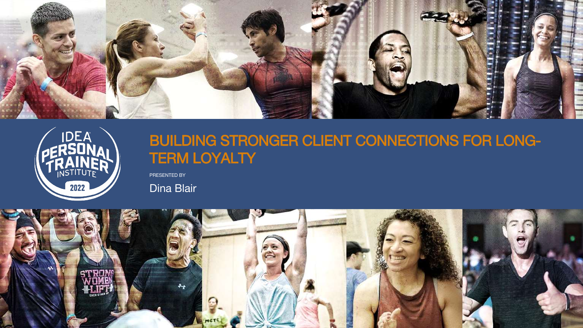PRESENTED BY





# TERM LOYALTY

Dina Blair

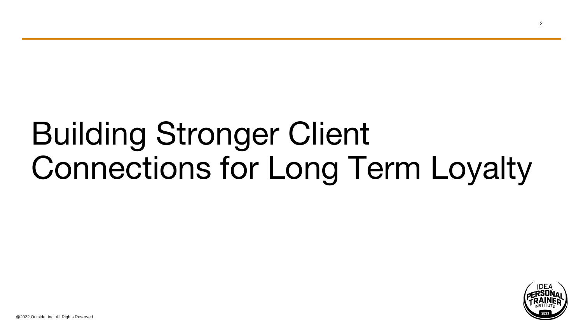# Building Stronger Client Connections for Long Term Loyalty

@2022 Outside, Inc. All Rights Reserved.

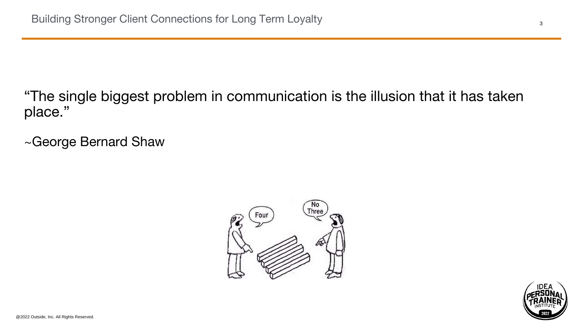# "The single biggest problem in communication is the illusion that it has taken



place."

~George Bernard Shaw

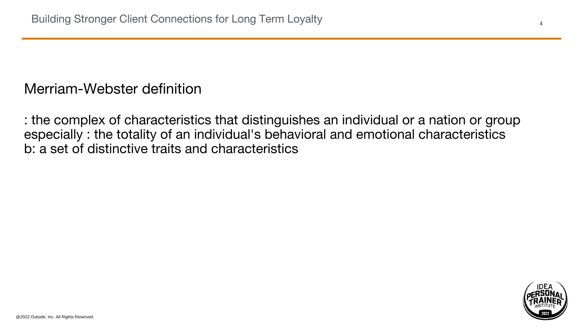## Merriam-Webster definition

: the complex of characteristics that distinguishes an individual or a nation or group especially : the totality of an individual's behavioral and emotional characteristics b: a set of distinctive traits and characteristics

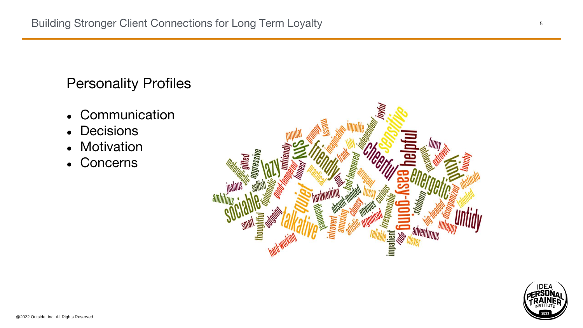# Personality Profiles

- Communication
- Decisions
- Motivation
- Concerns



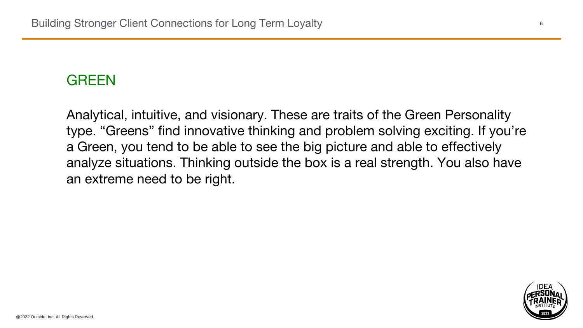### GREEN

Analytical, intuitive, and visionary. These are traits of the Green Personality type. "Greens" find innovative thinking and problem solving exciting. If you're a Green, you tend to be able to see the big picture and able to effectively analyze situations. Thinking outside the box is a real strength. You also have an extreme need to be right.

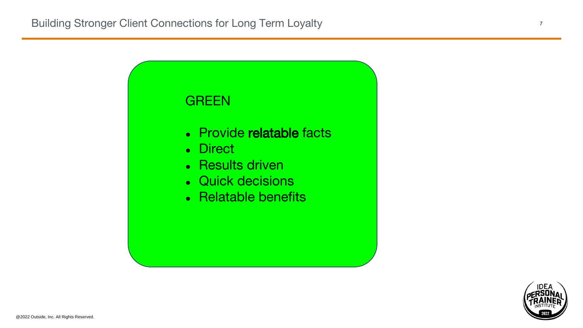

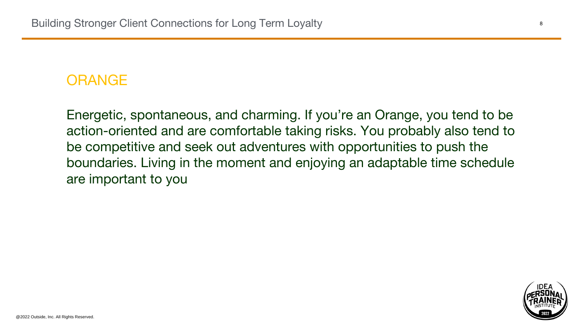## ORANGE

Energetic, spontaneous, and charming. If you're an Orange, you tend to be action-oriented and are comfortable taking risks. You probably also tend to be competitive and seek out adventures with opportunities to push the boundaries. Living in the moment and enjoying an adaptable time schedule are important to you

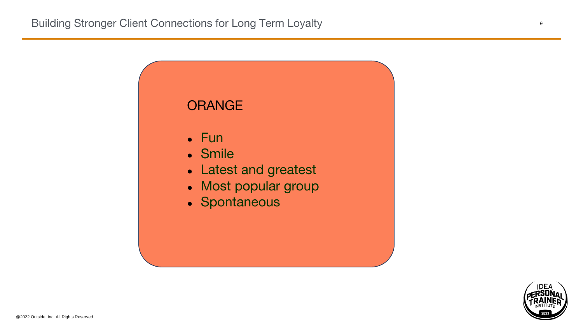

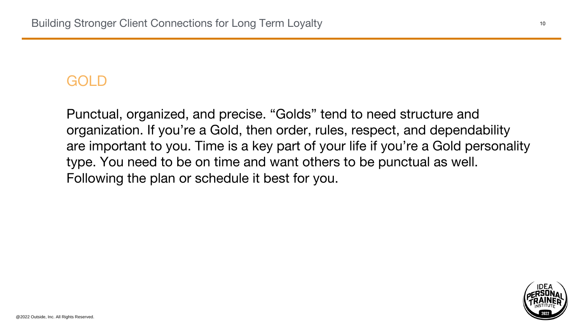## GOLD

Punctual, organized, and precise. "Golds" tend to need structure and organization. If you're a Gold, then order, rules, respect, and dependability are important to you. Time is a key part of your life if you're a Gold personality type. You need to be on time and want others to be punctual as well. Following the plan or schedule it best for you.

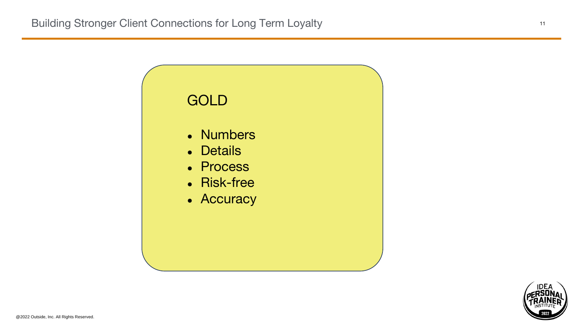

- Numbers
- Details
- Process
- Risk-free
- Accuracy



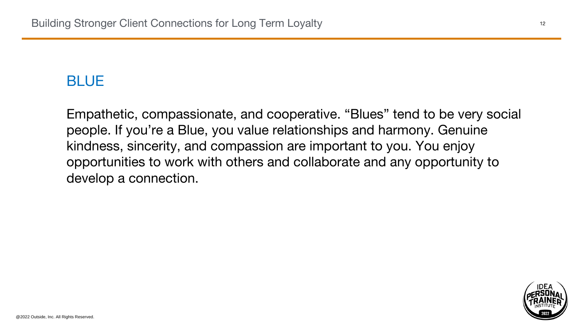## BLUE

# Empathetic, compassionate, and cooperative. "Blues" tend to be very social people. If you're a Blue, you value relationships and harmony. Genuine opportunities to work with others and collaborate and any opportunity to



kindness, sincerity, and compassion are important to you. You enjoy develop a connection.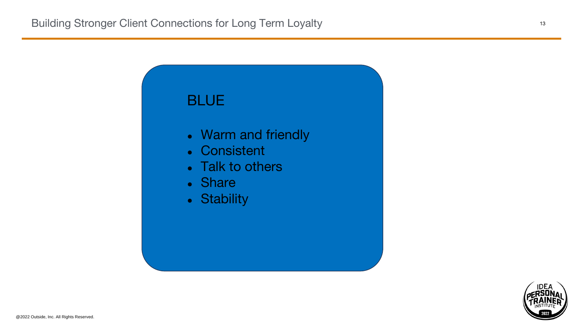

- Warm and friendly
- Consistent
- Talk to others
- Share
- Stability



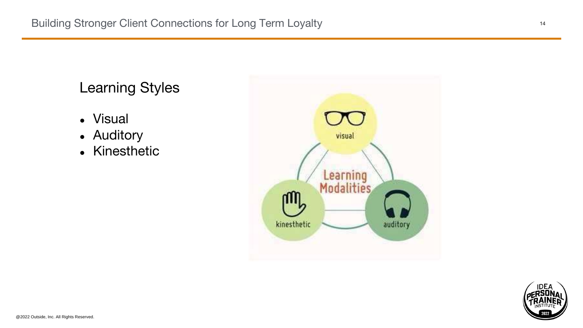- Visual
- Auditory
- Kinesthetic





# Learning Styles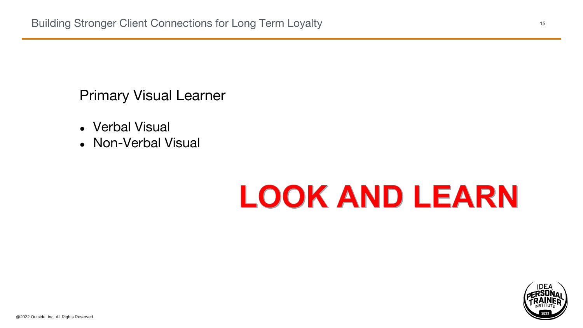## Primary Visual Learner

- Verbal Visual
- Non-Verbal Visual

# LOOK AND LEARN

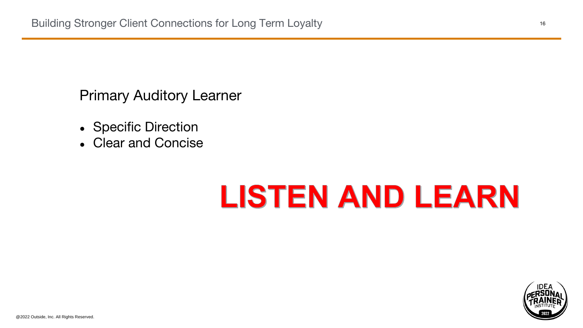## Primary Auditory Learner

- Specific Direction
- Clear and Concise

# LISTEN AND LEARN

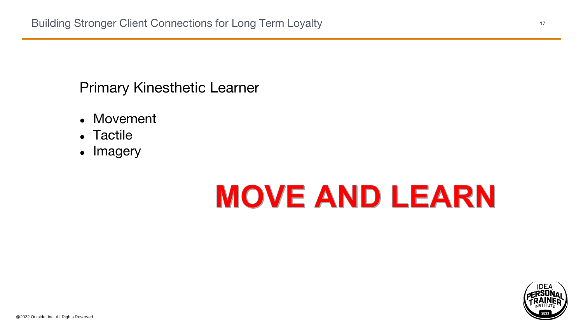# Primary Kinesthetic Learner

- Movement
- Tactile
- Imagery



# MOVE AND LEARN